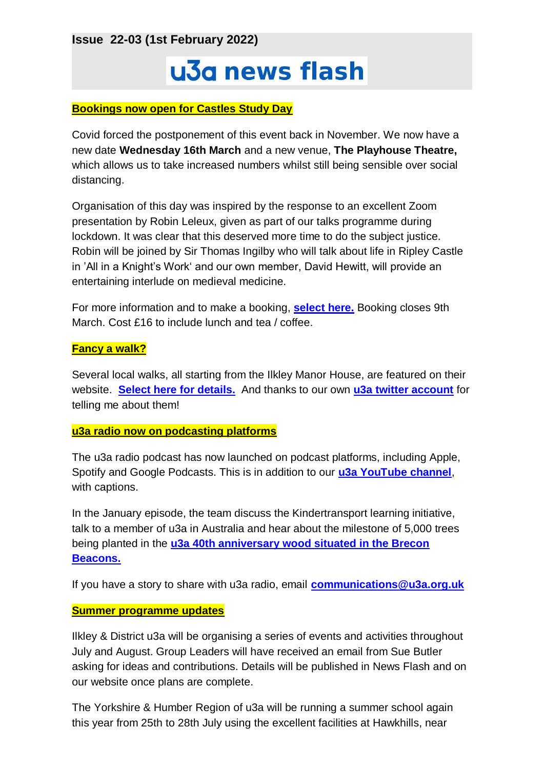**Issue 22-03 (1st February 2022)**

# u3a news flash

#### **Bookings now open for Castles Study Day**

Covid forced the postponement of this event back in November. We now have a new date **Wednesday 16th March** and a new venue, **The Playhouse Theatre,** which allows us to take increased numbers whilst still being sensible over social distancing.

Organisation of this day was inspired by the response to an excellent Zoom presentation by Robin Leleux, given as part of our talks programme during lockdown. It was clear that this deserved more time to do the subject justice. Robin will be joined by Sir Thomas Ingilby who will talk about life in Ripley Castle in 'All in a Knight's Work' and our own member, David Hewitt, will provide an entertaining interlude on medieval medicine.

For more information and to make a booking, **[select here.](https://ilkleyu3a.org/event-4575048)** Booking closes 9th March. Cost £16 to include lunch and tea / coffee.

#### **Fancy a walk?**

Several local walks, all starting from the Ilkley Manor House, are featured on their website. **[Select here for details.](https://www.ilkleymanorhouse.org/walks-and-trails)** And thanks to our own **[u3a twitter account](https://twitter.com/ilkleyu3a?lang=en)** for telling me about them!

#### **u3a radio now on podcasting platforms**

The u3a radio podcast has now launched on podcast platforms, including Apple, Spotify and Google Podcasts. This is in addition to our **[u3a YouTube channel](https://www.youtube.com/channel/UCrqc8qYDZ4U24lq0J4qx0fQ)**, with captions.

In the January episode, the team discuss the Kindertransport learning initiative, talk to a member of u3a in Australia and hear about the milestone of 5,000 trees being planted in the **[u3a 40th anniversary wood situated in the Brecon](https://www.u3a.org.uk/latest-news/1192-u3a-creates-woodland-for-40th-anniversary)  [Beacons.](https://www.u3a.org.uk/latest-news/1192-u3a-creates-woodland-for-40th-anniversary)**

If you have a story to share with u3a radio, email **[communications@u3a.org.uk](mailto:communications@u3a.org.uk)**

#### **Summer programme updates**

Ilkley & District u3a will be organising a series of events and activities throughout July and August. Group Leaders will have received an email from Sue Butler asking for ideas and contributions. Details will be published in News Flash and on our website once plans are complete.

The Yorkshire & Humber Region of u3a will be running a summer school again this year from 25th to 28th July using the excellent facilities at Hawkhills, near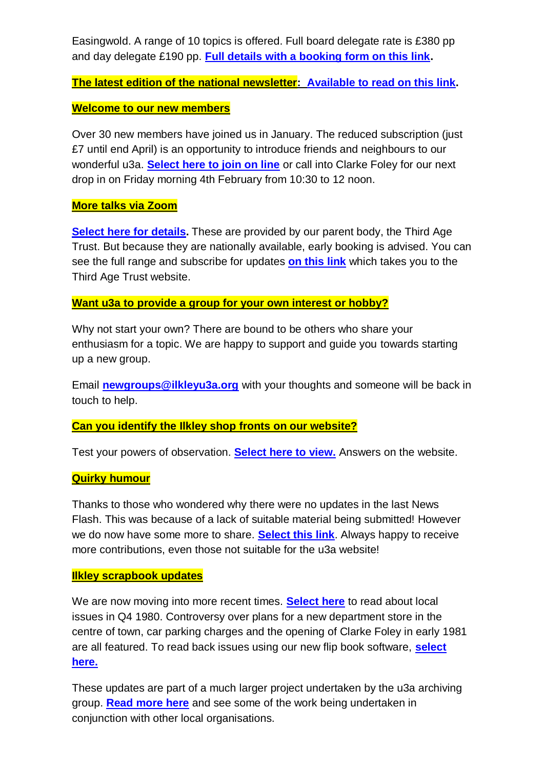Easingwold. A range of 10 topics is offered. Full board delegate rate is £380 pp and day delegate £190 pp. **[Full details with a booking form on this link.](https://yahru3a.co.uk/summerschool-2020)**

**The latest edition of the national newsletter: [Available to read on this link.](https://mailchi.mp/u3a/your-u3a-national-newsletter-january-2022?e=8dba608278)**

### **Welcome to our new members**

Over 30 new members have joined us in January. The reduced subscription (just £7 until end April) is an opportunity to introduce friends and neighbours to our wonderful u3a. **[Select here to join on line](https://ilkleyu3a.org/Join-Us#JOINUSANDPAY)** or call into Clarke Foley for our next drop in on Friday morning 4th February from 10:30 to 12 noon.

## **More talks via Zoom**

**[Select here for details.](https://ilkleyu3a.org/Forthcoming-Talks)** These are provided by our parent body, the Third Age Trust. But because they are nationally available, early booking is advised. You can see the full range and subscribe for updates **[on this link](https://www.u3a.org.uk/events/educational-events)** which takes you to the Third Age Trust website.

#### **Want u3a to provide a group for your own interest or hobby?**

Why not start your own? There are bound to be others who share your enthusiasm for a topic. We are happy to support and guide you towards starting up a new group.

Email **[newgroups@ilkleyu3a.org](mailto:newgroups@ilkleyu3a.org)** with your thoughts and someone will be back in touch to help.

## **Can you identify the Ilkley shop fronts on our website?**

Test your powers of observation. **[Select here to view.](http://ilkleyu3a.org/#HQUIZ)** Answers on the website.

#### **Quirky humour**

Thanks to those who wondered why there were no updates in the last News Flash. This was because of a lack of suitable material being submitted! However we do now have some more to share. **[Select this link](https://ilkleyu3a.org/Lockdown-Support-Quirky-Humour)**. Always happy to receive more contributions, even those not suitable for the u3a website!

#### **Ilkley scrapbook updates**

We are now moving into more recent times. **[Select here](https://ilkleyu3a.org/Ilkley-Scrapbook-of-the-month)** to read about local issues in Q4 1980. Controversy over plans for a new department store in the centre of town, car parking charges and the opening of Clarke Foley in early 1981 are all featured. To read back issues using our new flip book software, **[select](https://ilkleyu3a.org/Resources/Documents/PDF-Flip/Bookshelf-Scrapbooks.html)  [here.](https://ilkleyu3a.org/Resources/Documents/PDF-Flip/Bookshelf-Scrapbooks.html)**

These updates are part of a much larger project undertaken by the u3a archiving group. **[Read more](https://ilkleyu3a.org/Archiving-Group-Updates) here** and see some of the work being undertaken in conjunction with other local organisations.